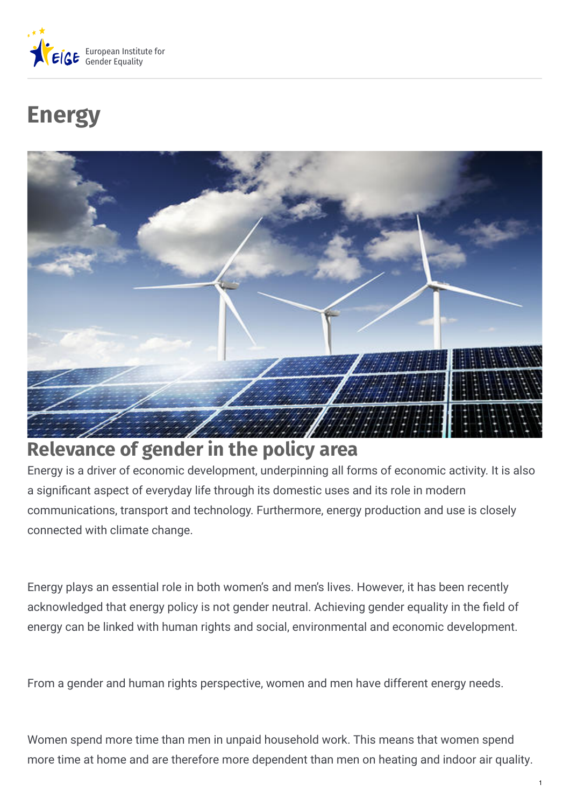

# **Energy**



## **Relevance of gender in the policy area**

Energy is a driver of economic development, underpinning all forms of economic activity. It is also a significant aspect of everyday life through its domestic uses and its role in modern communications, transport and technology. Furthermore, energy production and use is closely connected with climate change.

Energy plays an essential role in both women's and men's lives. However, it has been recently acknowledged that energy policy is not gender neutral. Achieving gender equality in the field of energy can be linked with human rights and social, environmental and economic development.

From a gender and human rights perspective, women and men have different energy needs.

Women spend more time than men in unpaid household work. This means that women spend more time at home and are therefore more dependent than men on heating and indoor air quality.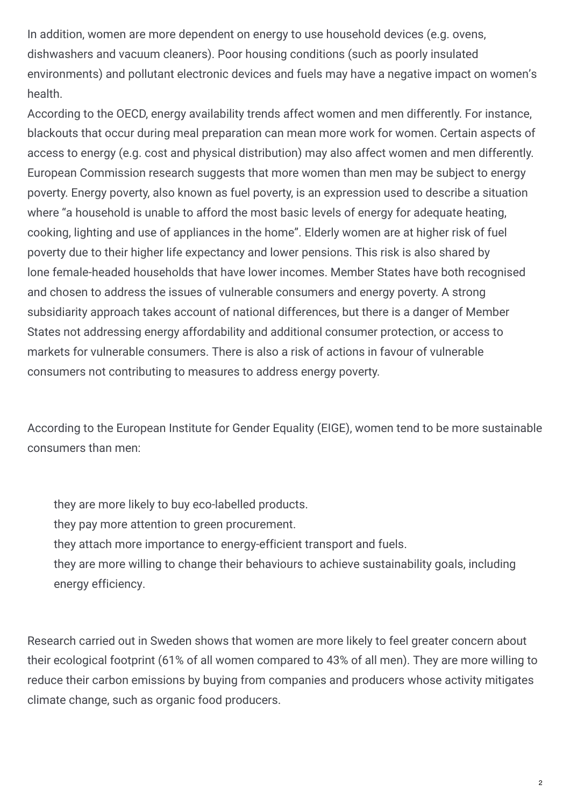In addition, women are more dependent on energy to use household devices (e.g. ovens, dishwashers and vacuum cleaners). Poor housing conditions (such as poorly insulated environments) and pollutant electronic devices and fuels may have a negative impact on women's health.

According to the OECD, energy availability trends affect women and men differently. For instance, blackouts that occur during meal preparation can mean more work for women. Certain aspects of access to energy (e.g. cost and physical distribution) may also affect women and men differently. European Commission research suggests that more women than men may be subject to energy poverty. Energy poverty, also known as fuel poverty, is an expression used to describe a situation where "a household is unable to afford the most basic levels of energy for adequate heating, cooking, lighting and use of appliances in the home". Elderly women are at higher risk of fuel poverty due to their higher life expectancy and lower pensions. This risk is also shared by lone female-headed households that have lower incomes. Member States have both recognised and chosen to address the issues of vulnerable consumers and energy poverty. A strong subsidiarity approach takes account of national differences, but there is a danger of Member States not addressing energy affordability and additional consumer protection, or access to markets for vulnerable consumers. There is also a risk of actions in favour of vulnerable consumers not contributing to measures to address energy poverty.

According to the European Institute for Gender Equality (EIGE), women tend to be more sustainable consumers than men:

they are more likely to buy eco-labelled products.

- they pay more attention to green procurement.
- they attach more importance to energy-efficient transport and fuels.
- they are more willing to change their behaviours to achieve sustainability goals, including energy efficiency.

Research carried out in Sweden shows that women are more likely to feel greater concern about their ecological footprint (61% of all women compared to 43% of all men). They are more willing to reduce their carbon emissions by buying from companies and producers whose activity mitigates climate change, such as organic food producers.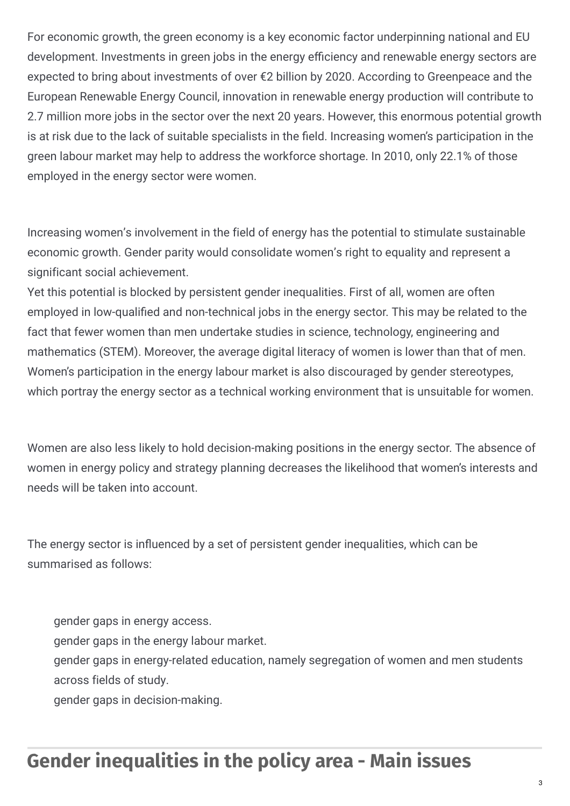For economic growth, the green economy is a key economic factor underpinning national and EU development. Investments in green jobs in the energy efficiency and renewable energy sectors are expected to bring about investments of over €2 billion by 2020. According to Greenpeace and the European Renewable Energy Council, innovation in renewable energy production will contribute to 2.7 million more jobs in the sector over the next 20 years. However, this enormous potential growth is at risk due to the lack of suitable specialists in the field. Increasing women's participation in the green labour market may help to address the workforce shortage. In 2010, only 22.1% of those employed in the energy sector were women.

Increasing women's involvement in the field of energy has the potential to stimulate sustainable economic growth. Gender parity would consolidate women's right to equality and represent a significant social achievement.

Yet this potential is blocked by persistent gender inequalities. First of all, women are often employed in low-qualified and non-technical jobs in the energy sector. This may be related to the fact that fewer women than men undertake studies in science, technology, engineering and mathematics (STEM). Moreover, the average digital literacy of women is lower than that of men. Women's participation in the energy labour market is also discouraged by gender stereotypes, which portray the energy sector as a technical working environment that is unsuitable for women.

Women are also less likely to hold decision-making positions in the energy sector. The absence of women in energy policy and strategy planning decreases the likelihood that women's interests and needs will be taken into account.

The energy sector is influenced by a set of persistent gender inequalities, which can be summarised as follows:

gender gaps in energy access.

gender gaps in the energy labour market.

gender gaps in energy-related education, namely segregation of women and men students across fields of study.

gender gaps in decision-making.

## **Gender inequalities in the policy area - Main issues**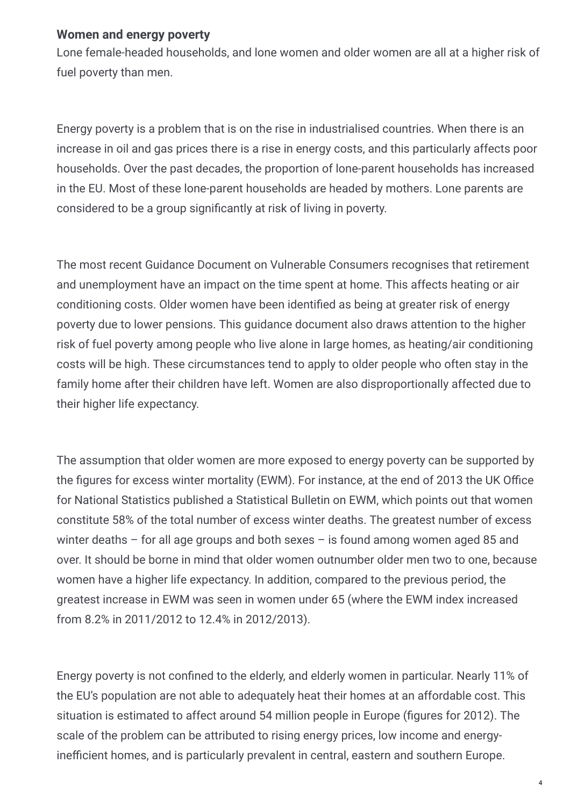#### **Women and energy poverty**

Lone female-headed households, and lone women and older women are all at a higher risk of fuel poverty than men.

Energy poverty is a problem that is on the rise in industrialised countries. When there is an increase in oil and gas prices there is a rise in energy costs, and this particularly affects poor households. Over the past decades, the proportion of lone-parent households has increased in the EU. Most of these lone-parent households are headed by mothers. Lone parents are considered to be a group significantly at risk of living in poverty.

The most recent Guidance Document on Vulnerable Consumers recognises that retirement and unemployment have an impact on the time spent at home. This affects heating or air conditioning costs. Older women have been identified as being at greater risk of energy poverty due to lower pensions. This guidance document also draws attention to the higher risk of fuel poverty among people who live alone in large homes, as heating/air conditioning costs will be high. These circumstances tend to apply to older people who often stay in the family home after their children have left. Women are also disproportionally affected due to their higher life expectancy.

The assumption that older women are more exposed to energy poverty can be supported by the figures for excess winter mortality (EWM). For instance, at the end of 2013 the UK Office for National Statistics published a Statistical Bulletin on EWM, which points out that women constitute 58% of the total number of excess winter deaths. The greatest number of excess winter deaths – for all age groups and both sexes – is found among women aged 85 and over. It should be borne in mind that older women outnumber older men two to one, because women have a higher life expectancy. In addition, compared to the previous period, the greatest increase in EWM was seen in women under 65 (where the EWM index increased from 8.2% in 2011/2012 to 12.4% in 2012/2013).

Energy poverty is not confined to the elderly, and elderly women in particular. Nearly 11% of the EU's population are not able to adequately heat their homes at an affordable cost. This situation is estimated to affect around 54 million people in Europe (figures for 2012). The scale of the problem can be attributed to rising energy prices, low income and energyinefficient homes, and is particularly prevalent in central, eastern and southern Europe.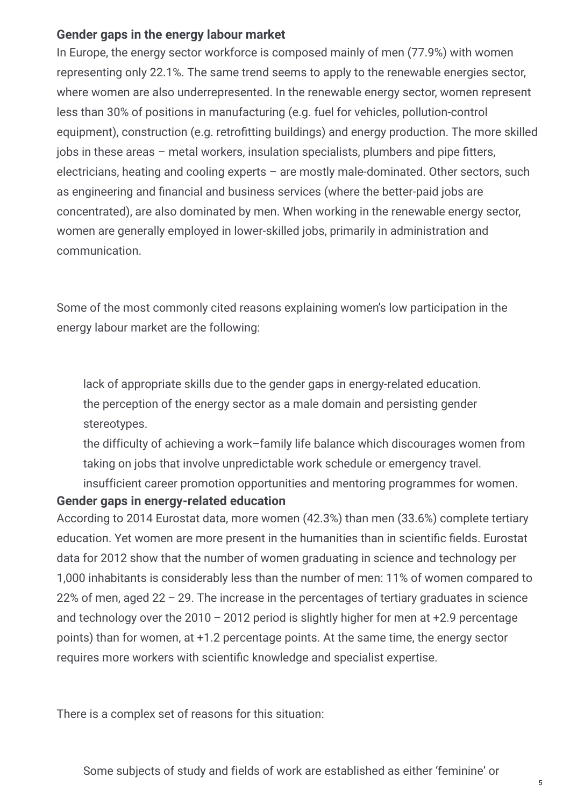#### **Gender gaps in the energy labour market**

In Europe, the energy sector workforce is composed mainly of men (77.9%) with women representing only 22.1%. The same trend seems to apply to the renewable energies sector, where women are also underrepresented. In the renewable energy sector, women represent less than 30% of positions in manufacturing (e.g. fuel for vehicles, pollution-control equipment), construction (e.g. retrofitting buildings) and energy production. The more skilled  $i$  jobs in these areas – metal workers, insulation specialists, plumbers and pipe fitters, electricians, heating and cooling experts – are mostly male-dominated. Other sectors, such as engineering and financial and business services (where the better-paid jobs are concentrated), are also dominated by men. When working in the renewable energy sector, women are generally employed in lower-skilled jobs, primarily in administration and communication.

Some of the most commonly cited reasons explaining women's low participation in the energy labour market are the following:

lack of appropriate skills due to the gender gaps in energy-related education. the perception of the energy sector as a male domain and persisting gender stereotypes.

the difficulty of achieving a work–family life balance which discourages women from taking on jobs that involve unpredictable work schedule or emergency travel. insufficient career promotion opportunities and mentoring programmes for women.

#### **Gender gaps in energy-related education**

According to 2014 Eurostat data, more women (42.3%) than men (33.6%) complete tertiary education. Yet women are more present in the humanities than in scientific fields. Eurostat data for 2012 show that the number of women graduating in science and technology per 1,000 inhabitants is considerably less than the number of men: 11% of women compared to 22% of men, aged 22 – 29. The increase in the percentages of tertiary graduates in science and technology over the  $2010 - 2012$  period is slightly higher for men at  $+2.9$  percentage points) than for women, at +1.2 percentage points. At the same time, the energy sector requires more workers with scientific knowledge and specialist expertise.

There is a complex set of reasons for this situation: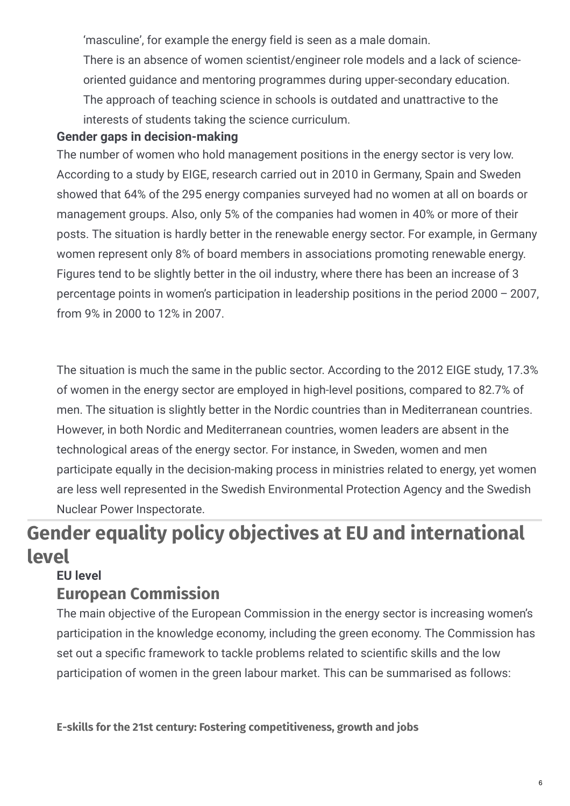'masculine', for example the energy field is seen as a male domain.

There is an absence of women scientist/engineer role models and a lack of scienceoriented guidance and mentoring programmes during upper-secondary education. The approach of teaching science in schools is outdated and unattractive to the interests of students taking the science curriculum.

#### **Gender gaps in decision-making**

The number of women who hold management positions in the energy sector is very low. According to a study by EIGE, research carried out in 2010 in Germany, Spain and Sweden showed that 64% of the 295 energy companies surveyed had no women at all on boards or management groups. Also, only 5% of the companies had women in 40% or more of their posts. The situation is hardly better in the renewable energy sector. For example, in Germany women represent only 8% of board members in associations promoting renewable energy. Figures tend to be slightly better in the oil industry, where there has been an increase of 3 percentage points in women's participation in leadership positions in the period 2000 – 2007, from 9% in 2000 to 12% in 2007.

The situation is much the same in the public sector. According to the 2012 EIGE study, 17.3% of women in the energy sector are employed in high-level positions, compared to 82.7% of men. The situation is slightly better in the Nordic countries than in Mediterranean countries. However, in both Nordic and Mediterranean countries, women leaders are absent in the technological areas of the energy sector. For instance, in Sweden, women and men participate equally in the decision-making process in ministries related to energy, yet women are less well represented in the Swedish Environmental Protection Agency and the Swedish Nuclear Power Inspectorate.

## **Gender equality policy objectives at EU and international level**

#### **EU level**

### **European Commission**

The main objective of the European Commission in the energy sector is increasing women's participation in the knowledge economy, including the green economy. The Commission has set out a specific framework to tackle problems related to scientific skills and the low participation of women in the green labour market. This can be summarised as follows:

**E-skills for the 21st century: Fostering competitiveness, growth and jobs**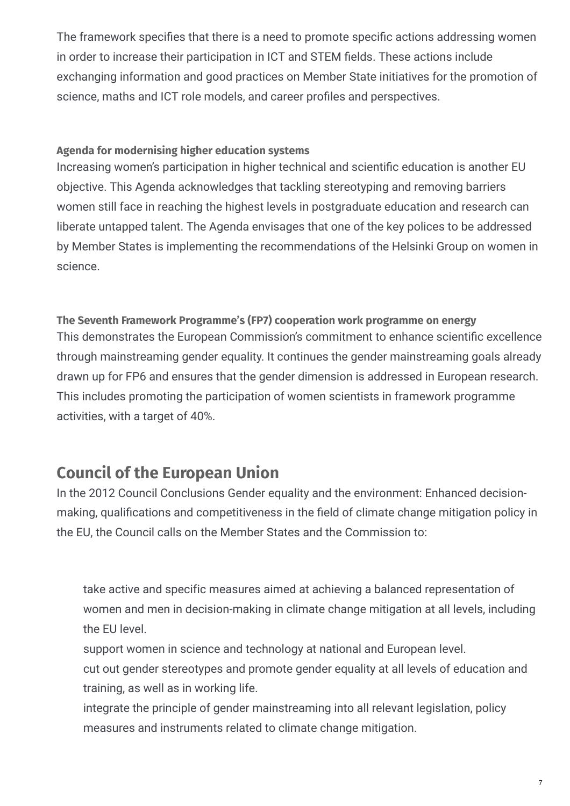The framework specifies that there is a need to promote specific actions addressing women in order to increase their participation in ICT and STEM fields. These actions include exchanging information and good practices on Member State initiatives for the promotion of science, maths and ICT role models, and career profiles and perspectives.

#### **Agenda for modernising higher education systems**

Increasing women's participation in higher technical and scientific education is another EU objective. This Agenda acknowledges that tackling stereotyping and removing barriers women still face in reaching the highest levels in postgraduate education and research can liberate untapped talent. The Agenda envisages that one of the key polices to be addressed by Member States is implementing the recommendations of the Helsinki Group on women in science.

**The Seventh Framework Programme's (FP7) cooperation work programme on energy** This demonstrates the European Commission's commitment to enhance scientific excellence through mainstreaming gender equality. It continues the gender mainstreaming goals already drawn up for FP6 and ensures that the gender dimension is addressed in European research. This includes promoting the participation of women scientists in framework programme activities, with a target of 40%.

### **Council of the European Union**

In the 2012 Council Conclusions Gender equality and the environment: Enhanced decisionmaking, qualifications and competitiveness in the field of climate change mitigation policy in the EU, the Council calls on the Member States and the Commission to:

take active and specific measures aimed at achieving a balanced representation of women and men in decision-making in climate change mitigation at all levels, including the EU level.

support women in science and technology at national and European level.

cut out gender stereotypes and promote gender equality at all levels of education and training, as well as in working life.

integrate the principle of gender mainstreaming into all relevant legislation, policy measures and instruments related to climate change mitigation.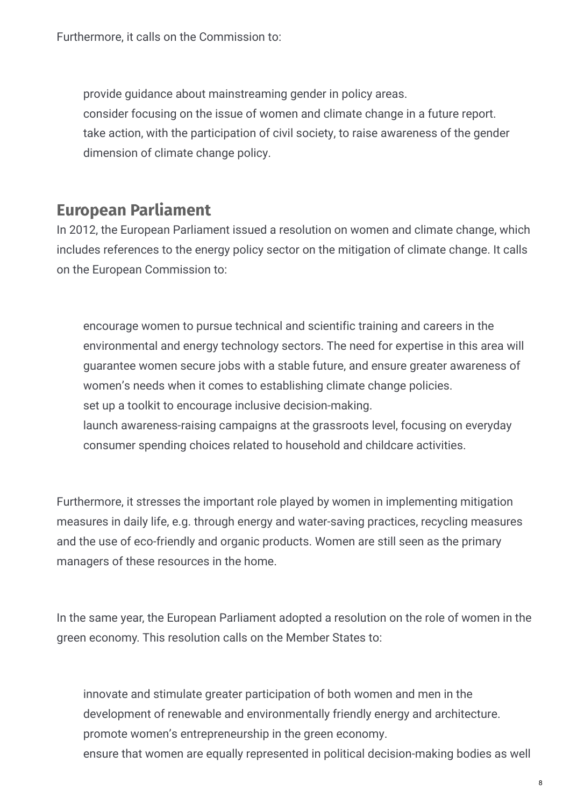Furthermore, it calls on the Commission to:

provide guidance about mainstreaming gender in policy areas. consider focusing on the issue of women and climate change in a future report. take action, with the participation of civil society, to raise awareness of the gender dimension of climate change policy.

#### **European Parliament**

In 2012, the European Parliament issued a resolution on women and climate change, which includes references to the energy policy sector on the mitigation of climate change. It calls on the European Commission to:

encourage women to pursue technical and scientific training and careers in the environmental and energy technology sectors. The need for expertise in this area will guarantee women secure jobs with a stable future, and ensure greater awareness of women's needs when it comes to establishing climate change policies. set up a toolkit to encourage inclusive decision-making. launch awareness-raising campaigns at the grassroots level, focusing on everyday consumer spending choices related to household and childcare activities.

Furthermore, it stresses the important role played by women in implementing mitigation measures in daily life, e.g. through energy and water-saving practices, recycling measures and the use of eco-friendly and organic products. Women are still seen as the primary managers of these resources in the home.

In the same year, the European Parliament adopted a resolution on the role of women in the green economy. This resolution calls on the Member States to:

innovate and stimulate greater participation of both women and men in the development of renewable and environmentally friendly energy and architecture. promote women's entrepreneurship in the green economy. ensure that women are equally represented in political decision-making bodies as well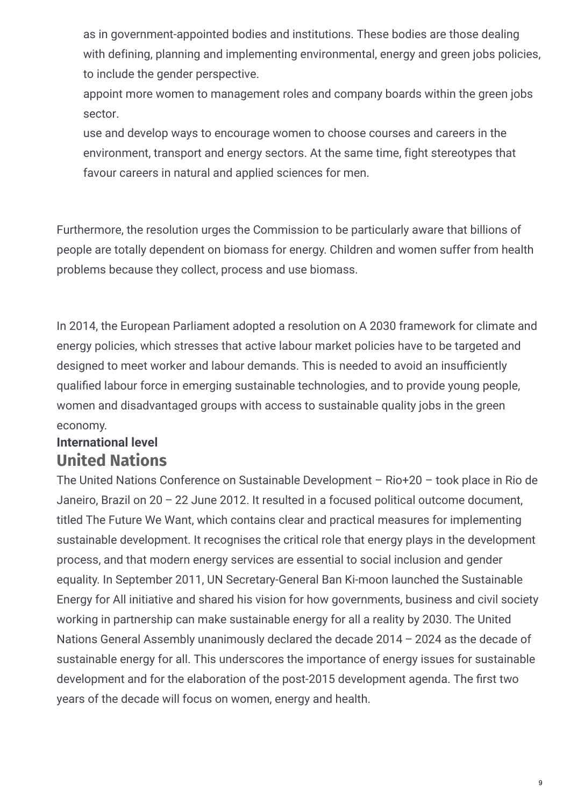as in government-appointed bodies and institutions. These bodies are those dealing with defining, planning and implementing environmental, energy and green jobs policies, to include the gender perspective.

appoint more women to management roles and company boards within the green jobs sector.

use and develop ways to encourage women to choose courses and careers in the environment, transport and energy sectors. At the same time, fight stereotypes that favour careers in natural and applied sciences for men.

Furthermore, the resolution urges the Commission to be particularly aware that billions of people are totally dependent on biomass for energy. Children and women suffer from health problems because they collect, process and use biomass.

In 2014, the European Parliament adopted a resolution on A 2030 framework for climate and energy policies, which stresses that active labour market policies have to be targeted and designed to meet worker and labour demands. This is needed to avoid an insufficiently qualified labour force in emerging sustainable technologies, and to provide young people, women and disadvantaged groups with access to sustainable quality jobs in the green economy.

#### **United Nations International level**

The United Nations Conference on Sustainable Development – Rio+20 – took place in Rio de Janeiro, Brazil on 20 – 22 June 2012. It resulted in a focused political outcome document, titled The Future We Want, which contains clear and practical measures for implementing sustainable development. It recognises the critical role that energy plays in the development process, and that modern energy services are essential to social inclusion and gender equality. In September 2011, UN Secretary-General Ban Ki-moon launched the Sustainable Energy for All initiative and shared his vision for how governments, business and civil society working in partnership can make sustainable energy for all a reality by 2030. The United Nations General Assembly unanimously declared the decade 2014 – 2024 as the decade of sustainable energy for all. This underscores the importance of energy issues for sustainable development and for the elaboration of the post-2015 development agenda. The first two years of the decade will focus on women, energy and health.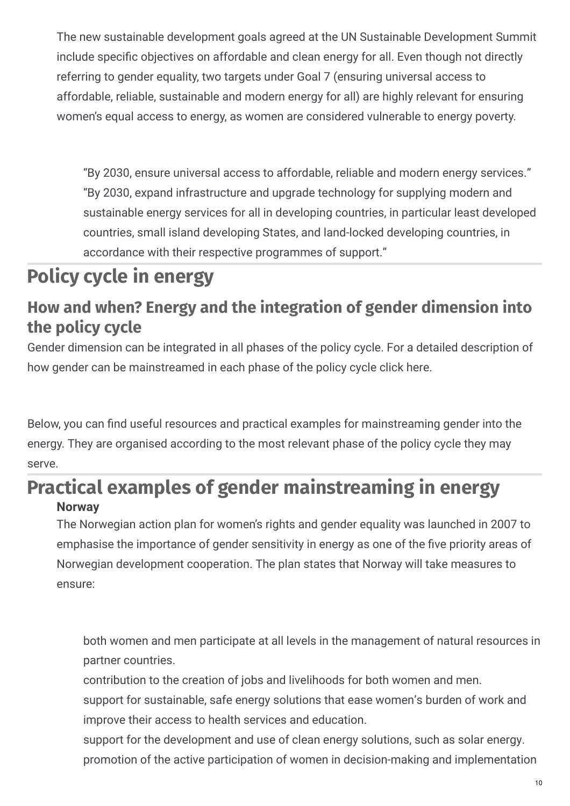The new sustainable development goals agreed at the UN Sustainable Development Summit include specific objectives on affordable and clean energy for all. Even though not directly referring to gender equality, two targets under Goal 7 (ensuring universal access to affordable, reliable, sustainable and modern energy for all) are highly relevant for ensuring women's equal access to energy, as women are considered vulnerable to energy poverty.

"By 2030, ensure universal access to affordable, reliable and modern energy services." "By 2030, expand infrastructure and upgrade technology for supplying modern and sustainable energy services for all in developing countries, in particular least developed countries, small island developing States, and land-locked developing countries, in accordance with their respective programmes of support."

## **Policy cycle in energy**

### **How and when? Energy and the integration of gender dimension into the policy cycle**

Gender dimension can be integrated in all phases of the policy cycle. For a detailed description of how gender can be mainstreamed in each phase of the policy cycle click here.

Below, you can find useful resources and practical examples for mainstreaming gender into the energy. They are organised according to the most relevant phase of the policy cycle they may serve.

### **Practical examples of gender mainstreaming in energy Norway**

The Norwegian action plan for women's rights and gender equality was launched in 2007 to emphasise the importance of gender sensitivity in energy as one of the five priority areas of Norwegian development cooperation. The plan states that Norway will take measures to ensure:

both women and men participate at all levels in the management of natural resources in partner countries.

contribution to the creation of jobs and livelihoods for both women and men.

support for sustainable, safe energy solutions that ease women's burden of work and improve their access to health services and education.

support for the development and use of clean energy solutions, such as solar energy. promotion of the active participation of women in decision-making and implementation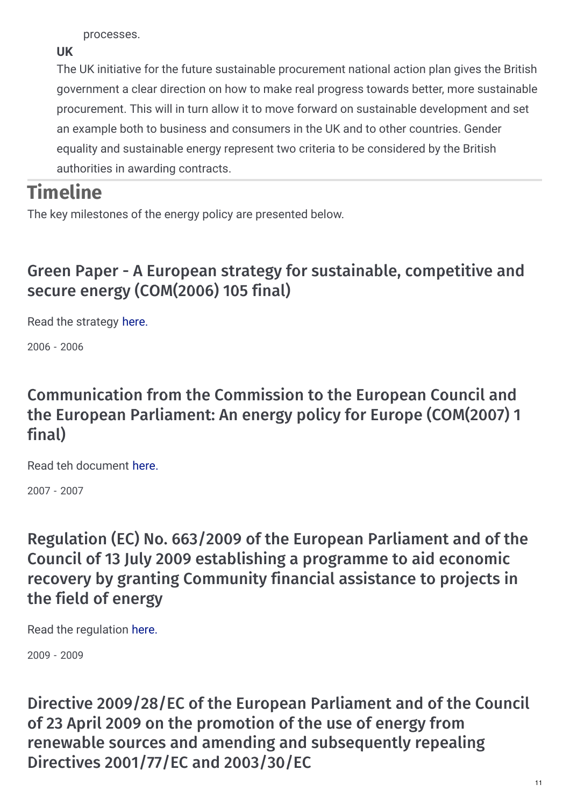processes.

**UK**

The UK initiative for the future sustainable procurement national action plan gives the British government a clear direction on how to make real progress towards better, more sustainable procurement. This will in turn allow it to move forward on sustainable development and set an example both to business and consumers in the UK and to other countries. Gender equality and sustainable energy represent two criteria to be considered by the British authorities in awarding contracts.

## **Timeline**

The key milestones of the energy policy are presented below.

### Green Paper - A European strategy for sustainable, competitive and secure energy (COM(2006) 105 final)

Read the strategy [here.](http://europa.eu/documents/comm/green_papers/pdf/com2006_105_en.pdf)

2006 - 2006

### Communication from the Commission to the European Council and the European Parliament: An energy policy for Europe (COM(2007) 1 final)

Read teh document [here.](http://eur-lex.europa.eu/legal-content/EN/TXT/?uri=URISERV:l27067)

2007 - 2007

Regulation (EC) No. 663/2009 of the European Parliament and of the Council of 13 July 2009 establishing a programme to aid economic recovery by granting Community financial assistance to projects in the field of energy

Read the regulation [here.](http://eur-lex.europa.eu/legal-content/EN/TXT/?uri=uriserv:en0012)

2009 - 2009

Directive 2009/28/EC of the European Parliament and of the Council of 23 April 2009 on the promotion of the use of energy from renewable sources and amending and subsequently repealing Directives 2001/77/EC and 2003/30/EC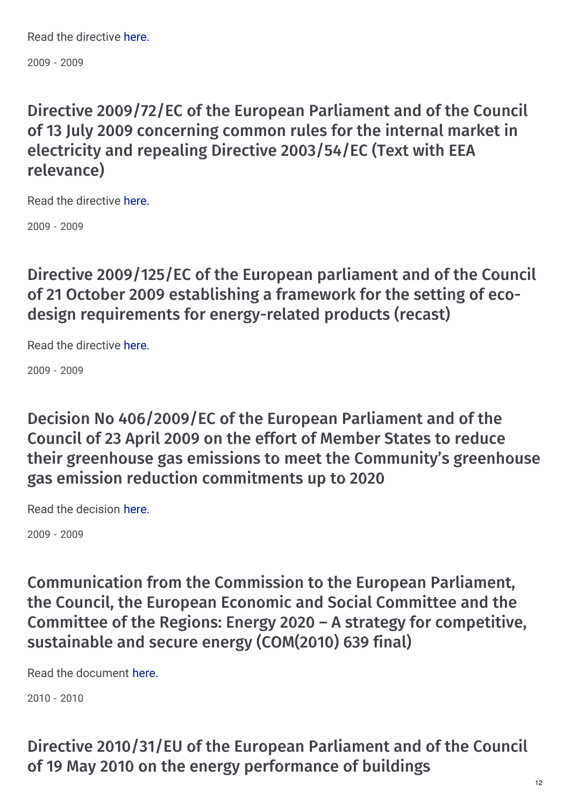Read the directive [here.](http://eur-lex.europa.eu/legal-content/EN/ALL/?uri=CELEX%3A32009L0028)

2009 - 2009

### Directive 2009/72/EC of the European Parliament and of the Council of 13 July 2009 concerning common rules for the internal market in electricity and repealing Directive 2003/54/EC (Text with EEA relevance)

Read the directive [here.](http://eur-lex.europa.eu/legal-content/EN/TXT/?uri=celex:32009L0072)

2009 - 2009

Directive 2009/125/EC of the European parliament and of the Council of 21 October 2009 establishing a framework for the setting of ecodesign requirements for energy-related products (recast)

Read the directive [here.](http://eur-lex.europa.eu/legal-content/EN/ALL/?uri=CELEX:32009L0125)

2009 - 2009

Decision No 406/2009/EC of the European Parliament and of the Council of 23 April 2009 on the effort of Member States to reduce their greenhouse gas emissions to meet the Community's greenhouse gas emission reduction commitments up to 2020

Read the decision [here.](http://eur-lex.europa.eu/legal-content/EN/TXT/?uri=uriserv:OJ.L_.2009.140.01.0136.01.ENG)

2009 - 2009

Communication from the Commission to the European Parliament, the Council, the European Economic and Social Committee and the Committee of the Regions: Energy 2020 – A strategy for competitive, sustainable and secure energy (COM(2010) 639 final)

Read the document [here.](http://eur-lex.europa.eu/LexUriServ/LexUriServ.do?uri=COM:2010:0639:FIN:EN:PDF)

2010 - 2010

Directive 2010/31/EU of the European Parliament and of the Council of 19 May 2010 on the energy performance of buildings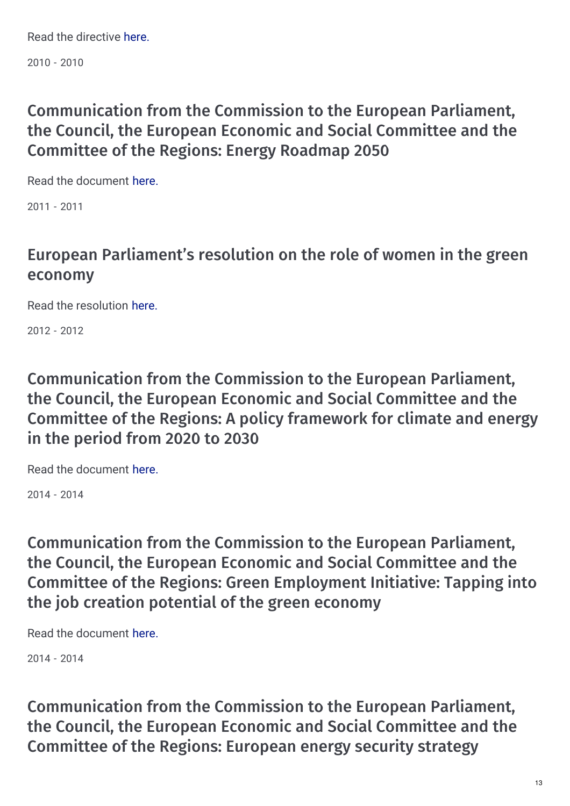Read the directive [here.](http://eur-lex.europa.eu/legal-content/EN/ALL/;ELX_SESSIONID=FZMjThLLzfxmmMCQGp2Y1s2d3TjwtD8QS3pqdkhXZbwqGwlgY9KN!2064651424?uri=CELEX%3A32010L0031)

2010 - 2010

### Communication from the Commission to the European Parliament, the Council, the European Economic and Social Committee and the Committee of the Regions: Energy Roadmap 2050

Read the document [here.](http://eur-lex.europa.eu/legal-content/EN/ALL/;ELX_SESSIONID=pXNYJKSFbLwdq5JBWQ9CvYWyJxD9RF4mnS3ctywT2xXmFYhlnlW1!-868768807?uri=CELEX:52011DC0885)

2011 - 2011

### European Parliament's resolution on the role of women in the green economy

Read the resolution [here.](http://www.europarl.europa.eu/sides/getDoc.do?type=REPORT&reference=A7-2012-0235&language=EN)

2012 - 2012

### Communication from the Commission to the European Parliament, the Council, the European Economic and Social Committee and the Committee of the Regions: A policy framework for climate and energy in the period from 2020 to 2030

Read the document [here.](http://eur-lex.europa.eu/legal-content/EN/ALL/?uri=CELEX:52014DC0015)

2014 - 2014

Communication from the Commission to the European Parliament, the Council, the European Economic and Social Committee and the Committee of the Regions: Green Employment Initiative: Tapping into the job creation potential of the green economy

Read the document [here.](http://ec.europa.eu/transparency/regdoc/rep/1/2014/EN/1-2014-446-EN-F1-1.Pdf)

2014 - 2014

Communication from the Commission to the European Parliament, the Council, the European Economic and Social Committee and the Committee of the Regions: European energy security strategy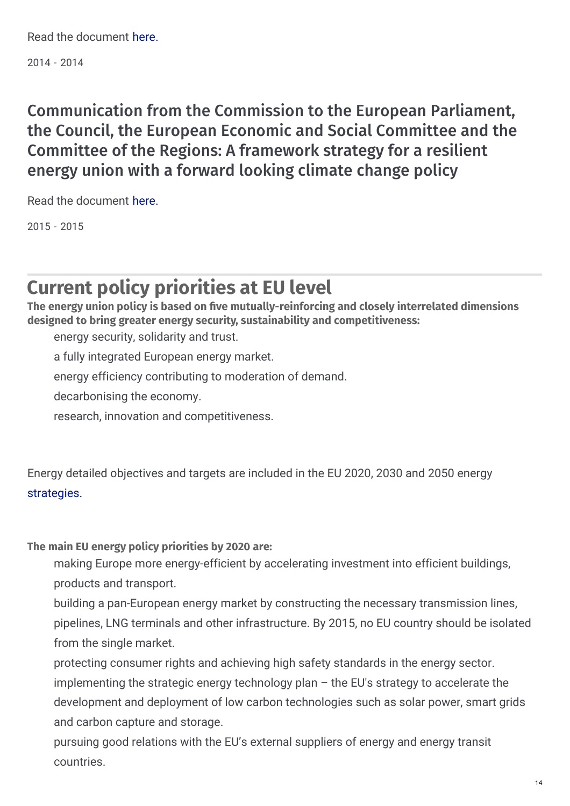2014 - 2014

Communication from the Commission to the European Parliament, the Council, the European Economic and Social Committee and the Committee of the Regions: A framework strategy for a resilient energy union with a forward looking climate change policy

Read the document [here.](http://eur-lex.europa.eu/legal-content/EN/TXT/?uri=COM:2015:80:FIN)

2015 - 2015

## **Current policy priorities at EU level**

**The energy union policy is based on 2ve mutually-reinforcing and closely interrelated dimensions designed to bring greater energy security, sustainability and competitiveness:**

energy security, solidarity and trust.

a fully integrated European energy market.

energy efficiency contributing to moderation of demand.

decarbonising the economy.

research, innovation and competitiveness.

Energy detailed objectives and targets are included in the EU 2020, 2030 and 2050 energy [strategies.](https://ec.europa.eu/energy/en/topics/energy-strategy)

#### **The main EU energy policy priorities by 2020 are:**

making Europe more energy-efficient by accelerating investment into efficient buildings, products and transport.

building a pan-European energy market by constructing the necessary transmission lines, pipelines, LNG terminals and other infrastructure. By 2015, no EU country should be isolated from the single market.

protecting consumer rights and achieving high safety standards in the energy sector.

implementing the strategic energy technology plan – the EU′s strategy to accelerate the development and deployment of low carbon technologies such as solar power, smart grids and carbon capture and storage.

pursuing good relations with the EU's external suppliers of energy and energy transit countries.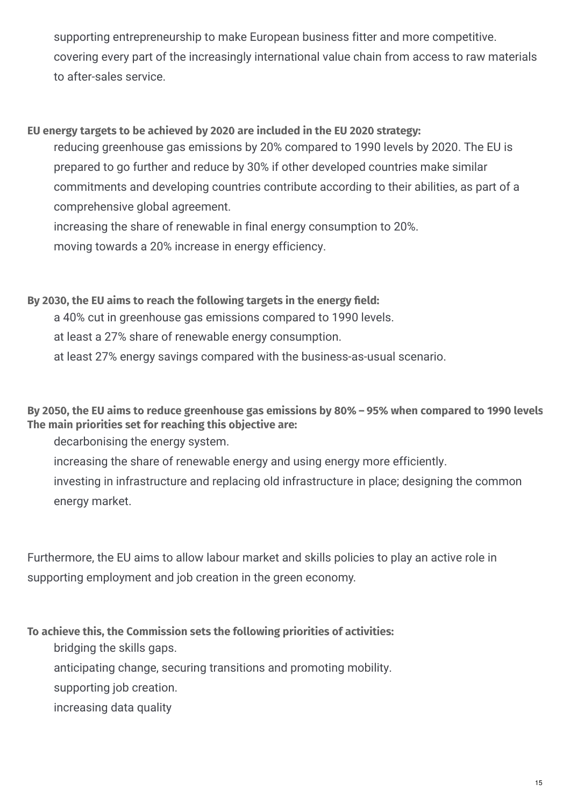supporting entrepreneurship to make European business fitter and more competitive. covering every part of the increasingly international value chain from access to raw materials to after-sales service.

#### **EU energy targets to be achieved by 2020 are included in the EU 2020 strategy:**

reducing greenhouse gas emissions by 20% compared to 1990 levels by 2020. The EU is prepared to go further and reduce by 30% if other developed countries make similar commitments and developing countries contribute according to their abilities, as part of a comprehensive global agreement.

increasing the share of renewable in final energy consumption to 20%.

moving towards a 20% increase in energy efficiency.

#### **By 2030, the EU aims to reach the following targets in the energy 2eld:**

a 40% cut in greenhouse gas emissions compared to 1990 levels.

at least a 27% share of renewable energy consumption.

at least 27% energy savings compared with the business-as-usual scenario.

By 2050, the EU aims to reduce greenhouse gas emissions by 80% - 95% when compared to 1990 levels **The main priorities set for reaching this objective are:**

decarbonising the energy system.

increasing the share of renewable energy and using energy more efficiently.

investing in infrastructure and replacing old infrastructure in place; designing the common energy market.

Furthermore, the EU aims to allow labour market and skills policies to play an active role in supporting employment and job creation in the green economy.

**To achieve this, the Commission sets the following priorities of activities:**

bridging the skills gaps.

anticipating change, securing transitions and promoting mobility.

supporting job creation.

increasing data quality